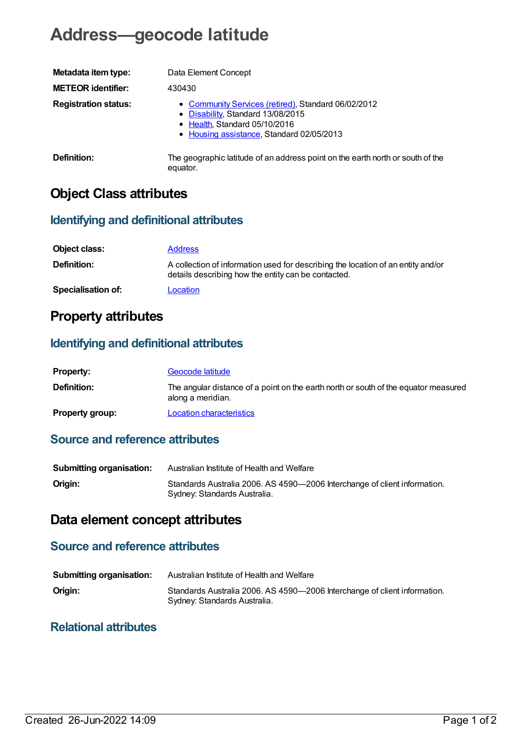# **Address—geocode latitude**

| Metadata item type:         | Data Element Concept                                                                                                                                                   |
|-----------------------------|------------------------------------------------------------------------------------------------------------------------------------------------------------------------|
| <b>METEOR identifier:</b>   | 430430                                                                                                                                                                 |
| <b>Registration status:</b> | • Community Services (retired), Standard 06/02/2012<br>• Disability, Standard 13/08/2015<br>• Health, Standard 05/10/2016<br>• Housing assistance, Standard 02/05/2013 |
| <b>Definition:</b>          | The geographic latitude of an address point on the earth north or south of the<br>equator.                                                                             |

## **Object Class attributes**

#### **Identifying and definitional attributes**

| Object class:             | <b>Address</b>                                                                                                                          |
|---------------------------|-----------------------------------------------------------------------------------------------------------------------------------------|
| <b>Definition:</b>        | A collection of information used for describing the location of an entity and/or<br>details describing how the entity can be contacted. |
| <b>Specialisation of:</b> | Location                                                                                                                                |

## **Property attributes**

#### **Identifying and definitional attributes**

| <b>Property:</b>       | Geocode latitude                                                                                         |
|------------------------|----------------------------------------------------------------------------------------------------------|
| <b>Definition:</b>     | The angular distance of a point on the earth north or south of the equator measured<br>along a meridian. |
| <b>Property group:</b> | <b>Location characteristics</b>                                                                          |

### **Source and reference attributes**

| <b>Submitting organisation:</b> | Australian Institute of Health and Welfare                                                                |
|---------------------------------|-----------------------------------------------------------------------------------------------------------|
| Origin:                         | Standards Australia 2006. AS 4590-2006 Interchange of client information.<br>Sydney: Standards Australia. |

## **Data element concept attributes**

#### **Source and reference attributes**

| <b>Submitting organisation:</b> | Australian Institute of Health and Welfare                                                                |
|---------------------------------|-----------------------------------------------------------------------------------------------------------|
| Origin:                         | Standards Australia 2006. AS 4590-2006 Interchange of client information.<br>Sydney: Standards Australia. |

#### **Relational attributes**